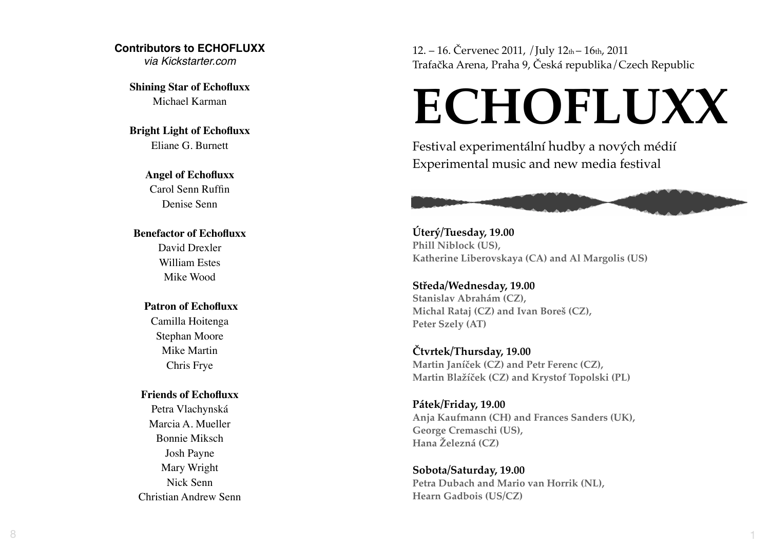## **Contributors to ECHOFLUXX**

*via Kickstarter.com*

**Shining Star of Echofluxx** Michael Karman

**Bright Light of Echofluxx** Eliane G. Burnett

## **Angel of Echofluxx**

Carol Senn Ruffin Denise Senn

## **Benefactor of Echofluxx**

David Drexler William Estes Mike Wood

## **Patron of Echofluxx**

Camilla Hoitenga Stephan Moore Mike Martin Chris Frye

## **Friends of Echofluxx**

Petra Vlachynská Marcia A. Mueller Bonnie Miksch Josh Payne Mary Wright Nick Senn Christian Andrew Senn 12. – 16. Červenec 2011, /July 12th – 16th, 2011 Trafačka Arena, Praha 9, Ceská republika/Czech Republic

# **ECHOFLUXX**

Festival experimentální hudby a nov ých médií Experimental music and new media festival



1

**Úter ý/Tuesday, 19.00 Phill Niblock (US), Katherine Liberovskaya (CA) and Al Margolis (US)**

**St ředa/Wednesday, 19.00 Stanislav Abrahám (CZ), Michal Rataj (CZ) and Ivan Bore š (CZ), Peter Szely (AT)**

**Čtvrtek/Thursday, 19.00 Martin Janí ček (CZ) and Petr Ferenc (CZ), Martin Bla ž í ček (CZ) and Krystof Topolski (PL)**

**Pátek/Friday, 19.00 Anja Kaufmann (CH) and Frances Sanders (UK), George Cremaschi (US), Hana Železná (CZ)**

**Sobota/Saturday, 19.00 Petra Dubach and Mario van Horrik (NL), Hearn Gadbois (US/CZ)**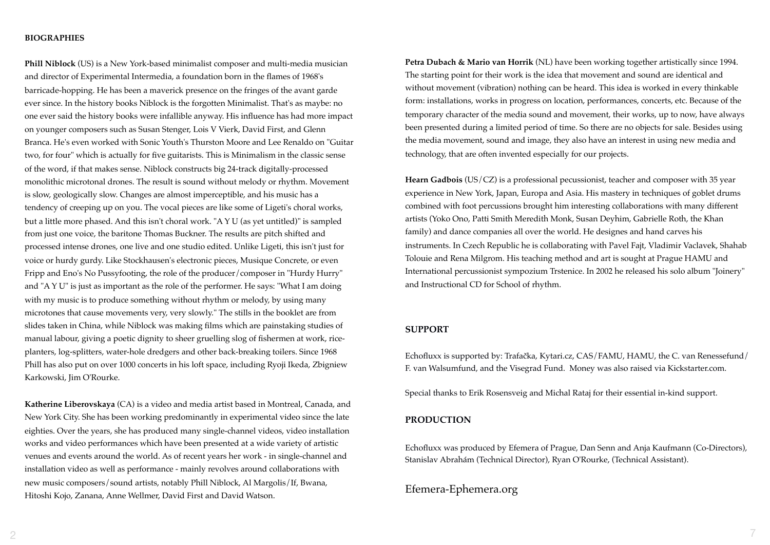#### **BIOGRAPHIES**

**Phill Niblock** (US) is a New York-based minimalist composer and multi-media musician and director of Experimental Intermedia, a foundation born in the flames of 1968's barricade-hopping. He has been a maverick presence on the fringes of the avant garde ever since. In the history books Niblock is the forgotten Minimalist. That's as maybe: no one ever said the history books were infallible anyway. His influence has had more impact on younger composers such as Susan Stenger, Lois V Vierk, David First, and Glenn Branca. He's even worked with Sonic Youth's Thurston Moore and Lee Renaldo on "Guitar two, for four" which is actually for five guitarists. This is Minimalism in the classic sense of the word, if that makes sense. Niblock constructs big 24-track digitally-processed monolithic microtonal drones. The result is sound without melody or rhythm. Movement is slow, geologically slow. Changes are almost imperceptible, and his music has a tendency of creeping up on you. The vocal pieces are like some of Ligeti's choral works, but a little more phased. And this isn't choral work. "A Y U (as yet untitled)" is sampled from just one voice, the baritone Thomas Buckner. The results are pitch shifted and processed intense drones, one live and one studio edited. Unlike Ligeti, this isn't just for voice or hurdy gurdy. Like Stockhausen's electronic pieces, Musique Concrete, or even Fripp and Eno's No Pussyfooting, the role of the producer/composer in "Hurdy Hurry" and "A Y U" is just as important as the role of the performer. He says: "What I am doing with my music is to produce something without rhythm or melody, by using many microtones that cause movements very, very slowly." The stills in the booklet are from slides taken in China, while Niblock was making films which are painstaking studies of manual labour, giving a poetic dignity to sheer gruelling slog of fishermen at work, riceplanters, log-splitters, water-hole dredgers and other back-breaking toilers. Since 1968 Phill has also put on over 1000 concerts in his loft space, including Ryoji Ikeda, Zbigniew Karkowski, Jim O'Rourke.

**Katherine Liberovskaya** (CA) is a video and media artist based in Montreal, Canada, and New York City. She has been working predominantly in experimental video since the late eighties. Over the years, she has produced many single-channel videos, video installation works and video performances which have been presented at a wide variety of artistic venues and events around the world. As of recent years her work - in single-channel and installation video as well as performance - mainly revolves around collaborations with new music composers/sound artists, notably Phill Niblock, Al Margolis/If, Bwana, Hitoshi Kojo, Zanana, Anne Wellmer, David First and David Watson.

**Petra Dubach & Mario van Horrik** (NL) have been working together artistically since 1994. The starting point for their work is the idea that movement and sound are identical and without movement (vibration) nothing can be heard. This idea is worked in every thinkable form: installations, works in progress on location, performances, concerts, etc. Because of the temporary character of the media sound and movement, their works, up to now, have always been presented during a limited period of time. So there are no objects for sale. Besides using the media movement, sound and image, they also have an interest in using new media and technology, that are often invented especially for our projects.

**Hearn Gadbois** (US/CZ) is a professional pecussionist, teacher and composer with 35 year experience in New York, Japan, Europa and Asia. His mastery in techniques of goblet drums combined with foot percussions brought him interesting collaborations with many different artists (Yoko Ono, Patti Smith Meredith Monk, Susan Deyhim, Gabrielle Roth, the Khan family) and dance companies all over the world. He designes and hand carves his instruments. In Czech Republic he is collaborating with Pavel Fajt, Vladimir Vaclavek, Shahab Tolouie and Rena Milgrom. His teaching method and art is sought at Prague HAMU and International percussionist sympozium Trstenice. In 2002 he released his solo album "Joinery" and Instructional CD for School of rhythm.

### **SUPPORT**

Echofluxx is supported by: Trafačka, Kytari.cz, CAS/FAMU, HAMU, the C. van Renessefund/ F. van Walsumfund, and the Visegrad Fund. Money was also raised via Kickstarter.com.

Special thanks to Erik Rosensveig and Michal Rataj for their essential in-kind support.

### **PRODUCTION**

Echofluxx was produced by Efemera of Prague, Dan Senn and Anja Kaufmann (Co-Directors), Stanislav Abrahám (Technical Director), Ryan O'Rourke, (Technical Assistant).

## Efemera-Ephemera.org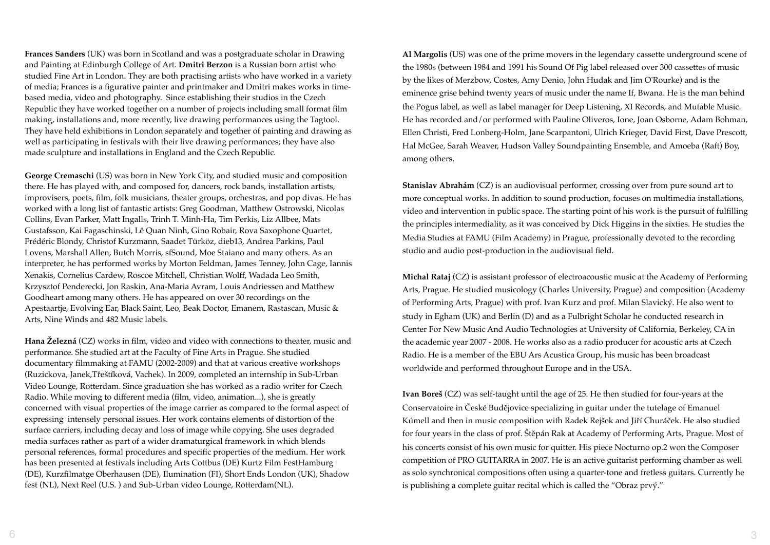**Frances Sanders** (UK) was born in Scotland and was a postgraduate scholar in Drawing and Painting at Edinburgh College of Art. **Dmitri Berzon** is a Russian born artist who studied Fine Art in London. They are both practising artists who have worked in a variety of media; Frances is a figurative painter and printmaker and Dmitri makes works in timebased media, video and photography. Since establishing their studios in the Czech Republic they have worked together on a number of projects including small format film making, installations and, more recently, live drawing performances using the Tagtool. They have held exhibitions in London separately and together of painting and drawing as well as participating in festivals with their live drawing performances; they have also made sculpture and installations in England and the Czech Republic.

**George Cremaschi** (US) was born in New York City, and studied music and composition there. He has played with, and composed for, dancers, rock bands, installation artists, improvisers, poets, film, folk musicians, theater groups, orchestras, and pop divas. He has worked with a long list of fantastic artists: Greg Goodman, Matthew Ostrowski, Nicolas Collins, Evan Parker, Matt Ingalls, Trinh T. Minh-Ha, Tim Perkis, Liz Allbee, Mats Gustafsson, Kai Fagaschinski, Lê Quan Ninh, Gino Robair, Rova Saxophone Quartet, Frédéric Blondy, Christof Kurzmann, Saadet Türköz, dieb13, Andrea Parkins, Paul Lovens, Marshall Allen, Butch Morris, sfSound, Moe Staiano and many others. As an interpreter, he has performed works by Morton Feldman, James Tenney, John Cage, Iannis Xenakis, Cornelius Cardew, Roscoe Mitchell, Christian Wolff, Wadada Leo Smith, Krzysztof Penderecki, Jon Raskin, Ana-Maria Avram, Louis Andriessen and Matthew Goodheart among many others. He has appeared on over 30 recordings on the Apestaartje, Evolving Ear, Black Saint, Leo, Beak Doctor, Emanem, Rastascan, Music & Arts, Nine Winds and 482 Music labels.

**Hana Železná** (CZ) works in film, video and video with connections to theater, music and performance. She studied art at the Faculty of Fine Arts in Prague. She studied documentary filmmaking at FAMU (2002-2009) and that at various creative workshops (Ruzickova, Janek,Třeštíková, Vachek). In 2009, completed an internship in Sub-Urban Video Lounge, Rotterdam. Since graduation she has worked as a radio writer for Czech Radio. While moving to different media (film, video, animation...), she is greatly concerned with visual properties of the image carrier as compared to the formal aspect of expressing intensely personal issues. Her work contains elements of distortion of the surface carriers, including decay and loss of image while copying. She uses degraded media surfaces rather as part of a wider dramaturgical framework in which blends personal references, formal procedures and specific properties of the medium. Her work has been presented at festivals including Arts Cottbus (DE) Kurtz Film FestHamburg (DE), Kurzfilmatge Oberhausen (DE), Ilumination (FI), Short Ends London (UK), Shadow fest (NL), Next Reel (U.S. ) and Sub-Urban video Lounge, Rotterdam(NL).

**Al Margolis** (US) was one of the prime movers in the legendary cassette underground scene of the 1980s (between 1984 and 1991 his Sound Of Pig label released over 300 cassettes of music by the likes of Merzbow, Costes, Amy Denio, John Hudak and Jim O'Rourke) and is the eminence grise behind twenty years of music under the name If, Bwana. He is the man behind the Pogus label, as well as label manager for Deep Listening, XI Records, and Mutable Music. He has recorded and/or performed with Pauline Oliveros, Ione, Joan Osborne, Adam Bohman, Ellen Christi, Fred Lonberg-Holm, Jane Scarpantoni, Ulrich Krieger, David First, Dave Prescott, Hal McGee, Sarah Weaver, Hudson Valley Soundpainting Ensemble, and Amoeba (Raft) Boy, among others.

**Stanislav Abrahám** (CZ) is an audiovisual performer, crossing over from pure sound art to more conceptual works. In addition to sound production, focuses on multimedia installations, video and intervention in public space. The starting point of his work is the pursuit of fulfilling the principles intermediality, as it was conceived by Dick Higgins in the sixties. He studies the Media Studies at FAMU (Film Academy) in Prague, professionally devoted to the recording studio and audio post-production in the audiovisual field.

**Michal Rataj** (CZ) is assistant professor of electroacoustic music at the Academy of Performing Arts, Prague. He studied musicology (Charles University, Prague) and composition (Academy of Performing Arts, Prague) with prof. Ivan Kurz and prof. Milan Slavický. He also went to study in Egham (UK) and Berlin (D) and as a Fulbright Scholar he conducted research in Center For New Music And Audio Technologies at University of California, Berkeley, CA in the academic year 2007 - 2008. He works also as a radio producer for acoustic arts at Czech Radio. He is a member of the EBU Ars Acustica Group, his music has been broadcast worldwide and performed throughout Europe and in the USA.

**Ivan Boreš** (CZ) was self-taught until the age of 25. He then studied for four-years at the Conservatoire in České Budějovice specializing in guitar under the tutelage of Emanuel Kúmell and then in music composition with Radek Rejšek and Jiří Churáček. He also studied for four years in the class of prof. Štěpán Rak at Academy of Performing Arts, Prague. Most of his concerts consist of his own music for quitter. His piece Nocturno op.2 won the Composer competition of PRO GUITARRA in 2007. He is an active guitarist performing chamber as well as solo synchronical compositions often using a quarter-tone and fretless guitars. Currently he is publishing a complete guitar recital which is called the "Obraz prvý."